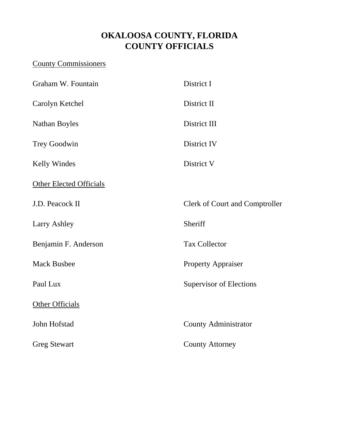# **OKALOOSA COUNTY, FLORIDA COUNTY OFFICIALS**

## County Commissioners

| Graham W. Fountain             | District I                            |
|--------------------------------|---------------------------------------|
| Carolyn Ketchel                | District II                           |
| <b>Nathan Boyles</b>           | District III                          |
| <b>Trey Goodwin</b>            | District IV                           |
| <b>Kelly Windes</b>            | District V                            |
| <b>Other Elected Officials</b> |                                       |
| J.D. Peacock II                | <b>Clerk of Court and Comptroller</b> |
| <b>Larry Ashley</b>            | Sheriff                               |
| Benjamin F. Anderson           | <b>Tax Collector</b>                  |
| <b>Mack Busbee</b>             | <b>Property Appraiser</b>             |
| Paul Lux                       | Supervisor of Elections               |
| Other Officials                |                                       |
| John Hofstad                   | <b>County Administrator</b>           |
| <b>Greg Stewart</b>            | <b>County Attorney</b>                |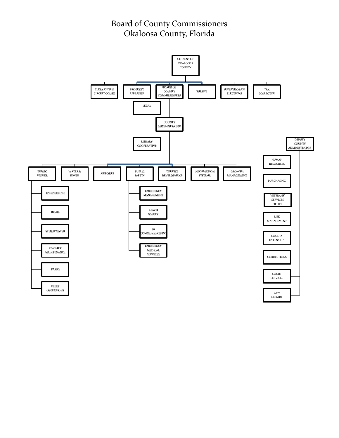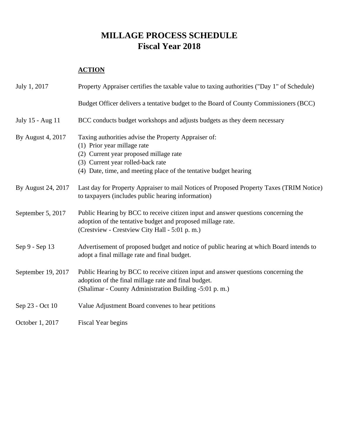## **MILLAGE PROCESS SCHEDULE Fiscal Year 2018**

#### **ACTION**

| July 1, 2017       | Property Appraiser certifies the taxable value to taxing authorities ("Day 1" of Schedule)                                                                                                                                              |
|--------------------|-----------------------------------------------------------------------------------------------------------------------------------------------------------------------------------------------------------------------------------------|
|                    | Budget Officer delivers a tentative budget to the Board of County Commissioners (BCC)                                                                                                                                                   |
| July 15 - Aug 11   | BCC conducts budget workshops and adjusts budgets as they deem necessary                                                                                                                                                                |
| By August 4, 2017  | Taxing authorities advise the Property Appraiser of:<br>(1) Prior year millage rate<br>(2) Current year proposed millage rate<br>(3) Current year rolled-back rate<br>(4) Date, time, and meeting place of the tentative budget hearing |
| By August 24, 2017 | Last day for Property Appraiser to mail Notices of Proposed Property Taxes (TRIM Notice)<br>to taxpayers (includes public hearing information)                                                                                          |
| September 5, 2017  | Public Hearing by BCC to receive citizen input and answer questions concerning the<br>adoption of the tentative budget and proposed millage rate.<br>(Crestview - Crestview City Hall - 5:01 p.m.)                                      |
| Sep 9 - Sep 13     | Advertisement of proposed budget and notice of public hearing at which Board intends to<br>adopt a final millage rate and final budget.                                                                                                 |
| September 19, 2017 | Public Hearing by BCC to receive citizen input and answer questions concerning the<br>adoption of the final millage rate and final budget.<br>(Shalimar - County Administration Building -5:01 p.m.)                                    |
| Sep 23 - Oct 10    | Value Adjustment Board convenes to hear petitions                                                                                                                                                                                       |
| October 1, 2017    | Fiscal Year begins                                                                                                                                                                                                                      |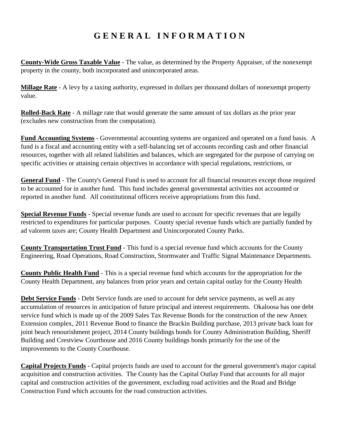# **G E N E R A L I N F O R M A T I O N**

**County-Wide Gross Taxable Value** - The value, as determined by the Property Appraiser, of the nonexempt property in the county, both incorporated and unincorporated areas.

**Millage Rate** - A levy by a taxing authority, expressed in dollars per thousand dollars of nonexempt property value.

**Rolled-Back Rate** - A millage rate that would generate the same amount of tax dollars as the prior year (excludes new construction from the computation).

**Fund Accounting Systems** - Governmental accounting systems are organized and operated on a fund basis. A fund is a fiscal and accounting entity with a self-balancing set of accounts recording cash and other financial resources, together with all related liabilities and balances, which are segregated for the purpose of carrying on specific activities or attaining certain objectives in accordance with special regulations, restrictions, or

**General Fund** - The County's General Fund is used to account for all financial resources except those required to be accounted for in another fund. This fund includes general governmental activities not accounted or reported in another fund. All constitutional officers receive appropriations from this fund.

**Special Revenue Funds** - Special revenue funds are used to account for specific revenues that are legally restricted to expenditures for particular purposes. County special revenue funds which are partially funded by ad valorem taxes are; County Health Department and Unincorporated County Parks.

**County Transportation Trust Fund** - This fund is a special revenue fund which accounts for the County Engineering, Road Operations, Road Construction, Stormwater and Traffic Signal Maintenance Departments.

**County Public Health Fund** - This is a special revenue fund which accounts for the appropriation for the County Health Department, any balances from prior years and certain capital outlay for the County Health

**Debt Service Funds** - Debt Service funds are used to account for debt service payments, as well as any accumulation of resources in anticipation of future principal and interest requirements. Okaloosa has one debt service fund which is made up of the 2009 Sales Tax Revenue Bonds for the construction of the new Annex Extension complex, 2011 Revenue Bond to finance the Brackin Building purchase, 2013 private back loan for joint beach renourishment project, 2014 County buildings bonds for County Administration Building, Sheriff Building and Crestview Courthouse and 2016 County buildings bonds primarily for the use of the improvements to the County Courthouse.

**Capital Projects Funds** - Capital projects funds are used to account for the general government's major capital acquisition and construction activities. The County has the Capital Outlay Fund that accounts for all major capital and construction activities of the government, excluding road activities and the Road and Bridge Construction Fund which accounts for the road construction activities.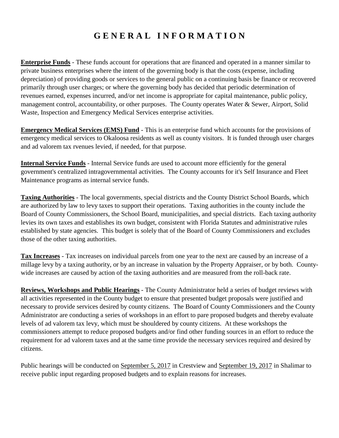# **G E N E R A L I N F O R M A T I O N**

**Enterprise Funds** - These funds account for operations that are financed and operated in a manner similar to private business enterprises where the intent of the governing body is that the costs (expense, including depreciation) of providing goods or services to the general public on a continuing basis be finance or recovered primarily through user charges; or where the governing body has decided that periodic determination of revenues earned, expenses incurred, and/or net income is appropriate for capital maintenance, public policy, management control, accountability, or other purposes. The County operates Water & Sewer, Airport, Solid Waste, Inspection and Emergency Medical Services enterprise activities.

**Emergency Medical Services (EMS) Fund** - This is an enterprise fund which accounts for the provisions of emergency medical services to Okaloosa residents as well as county visitors. It is funded through user charges and ad valorem tax rvenues levied, if needed, for that purpose.

**Internal Service Funds** - Internal Service funds are used to account more efficiently for the general government's centralized intragovernmental activities. The County accounts for it's Self Insurance and Fleet Maintenance programs as internal service funds.

**Taxing Authorities** - The local governments, special districts and the County District School Boards, which are authorized by law to levy taxes to support their operations. Taxing authorities in the county include the Board of County Commissioners, the School Board, municipalities, and special districts. Each taxing authority levies its own taxes and establishes its own budget, consistent with Florida Statutes and administrative rules established by state agencies. This budget is solely that of the Board of County Commissioners and excludes those of the other taxing authorities.

**Tax Increases** - Tax increases on individual parcels from one year to the next are caused by an increase of a millage levy by a taxing authority, or by an increase in valuation by the Property Appraiser, or by both. Countywide increases are caused by action of the taxing authorities and are measured from the roll-back rate.

**Reviews, Workshops and Public Hearings** - The County Administrator held a series of budget reviews with all activities represented in the County budget to ensure that presented budget proposals were justified and necessary to provide services desired by county citizens. The Board of County Commissioners and the County Administrator are conducting a series of workshops in an effort to pare proposed budgets and thereby evaluate levels of ad valorem tax levy, which must be shouldered by county citizens. At these workshops the commissioners attempt to reduce proposed budgets and/or find other funding sources in an effort to reduce the requirement for ad valorem taxes and at the same time provide the necessary services required and desired by citizens.

Public hearings will be conducted on September 5, 2017 in Crestview and September 19, 2017 in Shalimar to receive public input regarding proposed budgets and to explain reasons for increases.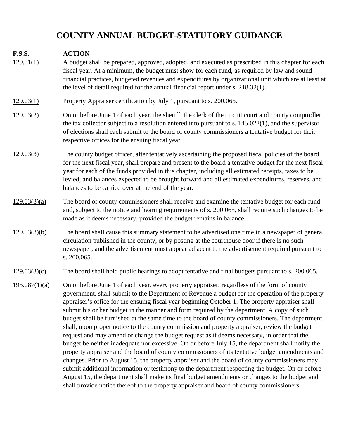# **COUNTY ANNUAL BUDGET-STATUTORY GUIDANCE**

| <b>F.S.S.</b><br>129.01(1) | <b>ACTION</b><br>A budget shall be prepared, approved, adopted, and executed as prescribed in this chapter for each<br>fiscal year. At a minimum, the budget must show for each fund, as required by law and sound<br>financial practices, budgeted revenues and expenditures by organizational unit which are at least at<br>the level of detail required for the annual financial report under s. 218.32(1).                                                                                                                                                                                                                                                                                                                                                                                                                                                                                                                                                                                                                                                                                                                                                                                                                                                                                                  |
|----------------------------|-----------------------------------------------------------------------------------------------------------------------------------------------------------------------------------------------------------------------------------------------------------------------------------------------------------------------------------------------------------------------------------------------------------------------------------------------------------------------------------------------------------------------------------------------------------------------------------------------------------------------------------------------------------------------------------------------------------------------------------------------------------------------------------------------------------------------------------------------------------------------------------------------------------------------------------------------------------------------------------------------------------------------------------------------------------------------------------------------------------------------------------------------------------------------------------------------------------------------------------------------------------------------------------------------------------------|
| 129.03(1)                  | Property Appraiser certification by July 1, pursuant to s. 200.065.                                                                                                                                                                                                                                                                                                                                                                                                                                                                                                                                                                                                                                                                                                                                                                                                                                                                                                                                                                                                                                                                                                                                                                                                                                             |
| 129.03(2)                  | On or before June 1 of each year, the sheriff, the clerk of the circuit court and county comptroller,<br>the tax collector subject to a resolution entered into pursuant to s. $145.022(1)$ , and the supervisor<br>of elections shall each submit to the board of county commissioners a tentative budget for their<br>respective offices for the ensuing fiscal year.                                                                                                                                                                                                                                                                                                                                                                                                                                                                                                                                                                                                                                                                                                                                                                                                                                                                                                                                         |
| 129.03(3)                  | The county budget officer, after tentatively ascertaining the proposed fiscal policies of the board<br>for the next fiscal year, shall prepare and present to the board a tentative budget for the next fiscal<br>year for each of the funds provided in this chapter, including all estimated receipts, taxes to be<br>levied, and balances expected to be brought forward and all estimated expenditures, reserves, and<br>balances to be carried over at the end of the year.                                                                                                                                                                                                                                                                                                                                                                                                                                                                                                                                                                                                                                                                                                                                                                                                                                |
| 129.03(3)(a)               | The board of county commissioners shall receive and examine the tentative budget for each fund<br>and, subject to the notice and hearing requirements of s. 200.065, shall require such changes to be<br>made as it deems necessary, provided the budget remains in balance.                                                                                                                                                                                                                                                                                                                                                                                                                                                                                                                                                                                                                                                                                                                                                                                                                                                                                                                                                                                                                                    |
| 129.03(3)(b)               | The board shall cause this summary statement to be advertised one time in a newspaper of general<br>circulation published in the county, or by posting at the courthouse door if there is no such<br>newspaper, and the advertisement must appear adjacent to the advertisement required pursuant to<br>s. 200.065.                                                                                                                                                                                                                                                                                                                                                                                                                                                                                                                                                                                                                                                                                                                                                                                                                                                                                                                                                                                             |
| 129.03(3)(c)               | The board shall hold public hearings to adopt tentative and final budgets pursuant to s. 200.065.                                                                                                                                                                                                                                                                                                                                                                                                                                                                                                                                                                                                                                                                                                                                                                                                                                                                                                                                                                                                                                                                                                                                                                                                               |
| 195.087(1)(a)              | On or before June 1 of each year, every property appraiser, regardless of the form of county<br>government, shall submit to the Department of Revenue a budget for the operation of the property<br>appraiser's office for the ensuing fiscal year beginning October 1. The property appraiser shall<br>submit his or her budget in the manner and form required by the department. A copy of such<br>budget shall be furnished at the same time to the board of county commissioners. The department<br>shall, upon proper notice to the county commission and property appraiser, review the budget<br>request and may amend or change the budget request as it deems necessary, in order that the<br>budget be neither inadequate nor excessive. On or before July 15, the department shall notify the<br>property appraiser and the board of county commissioners of its tentative budget amendments and<br>changes. Prior to August 15, the property appraiser and the board of county commissioners may<br>submit additional information or testimony to the department respecting the budget. On or before<br>August 15, the department shall make its final budget amendments or changes to the budget and<br>shall provide notice thereof to the property appraiser and board of county commissioners. |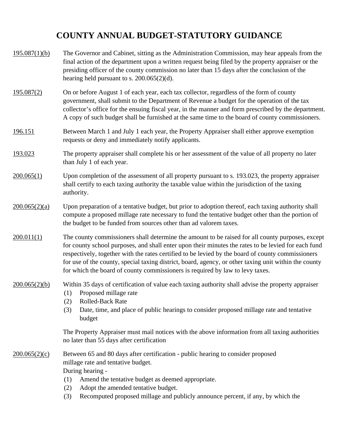# **COUNTY ANNUAL BUDGET-STATUTORY GUIDANCE**

| 195.087(1)(b)  | The Governor and Cabinet, sitting as the Administration Commission, may hear appeals from the<br>final action of the department upon a written request being filed by the property appraiser or the<br>presiding officer of the county commission no later than 15 days after the conclusion of the<br>hearing held pursuant to s. $200.065(2)(d)$ .                                                                                                                                                   |
|----------------|--------------------------------------------------------------------------------------------------------------------------------------------------------------------------------------------------------------------------------------------------------------------------------------------------------------------------------------------------------------------------------------------------------------------------------------------------------------------------------------------------------|
| 195.087(2)     | On or before August 1 of each year, each tax collector, regardless of the form of county<br>government, shall submit to the Department of Revenue a budget for the operation of the tax<br>collector's office for the ensuing fiscal year, in the manner and form prescribed by the department.<br>A copy of such budget shall be furnished at the same time to the board of county commissioners.                                                                                                     |
| <u>196.151</u> | Between March 1 and July 1 each year, the Property Appraiser shall either approve exemption<br>requests or deny and immediately notify applicants.                                                                                                                                                                                                                                                                                                                                                     |
| 193.023        | The property appraiser shall complete his or her assessment of the value of all property no later<br>than July 1 of each year.                                                                                                                                                                                                                                                                                                                                                                         |
| 200.065(1)     | Upon completion of the assessment of all property pursuant to s. 193.023, the property appraiser<br>shall certify to each taxing authority the taxable value within the jurisdiction of the taxing<br>authority.                                                                                                                                                                                                                                                                                       |
| 200.065(2)(a)  | Upon preparation of a tentative budget, but prior to adoption thereof, each taxing authority shall<br>compute a proposed millage rate necessary to fund the tentative budget other than the portion of<br>the budget to be funded from sources other than ad valorem taxes.                                                                                                                                                                                                                            |
| 200.011(1)     | The county commissioners shall determine the amount to be raised for all county purposes, except<br>for county school purposes, and shall enter upon their minutes the rates to be levied for each fund<br>respectively, together with the rates certified to be levied by the board of county commissioners<br>for use of the county, special taxing district, board, agency, or other taxing unit within the county<br>for which the board of county commissioners is required by law to levy taxes. |
| 200.065(2)(b)  | Within 35 days of certification of value each taxing authority shall advise the property appraiser<br>Proposed millage rate<br>(1)<br>Rolled-Back Rate<br>(2)<br>Date, time, and place of public hearings to consider proposed millage rate and tentative<br>(3)<br>budget                                                                                                                                                                                                                             |
|                | The Property Appraiser must mail notices with the above information from all taxing authorities<br>no later than 55 days after certification                                                                                                                                                                                                                                                                                                                                                           |
| 200.065(2)(c)  | Between 65 and 80 days after certification - public hearing to consider proposed<br>millage rate and tentative budget.<br>During hearing -<br>Amend the tentative budget as deemed appropriate.<br>(1)<br>Adopt the amended tentative budget.<br>(2)<br>Recomputed proposed millage and publicly announce percent, if any, by which the<br>(3)                                                                                                                                                         |
|                |                                                                                                                                                                                                                                                                                                                                                                                                                                                                                                        |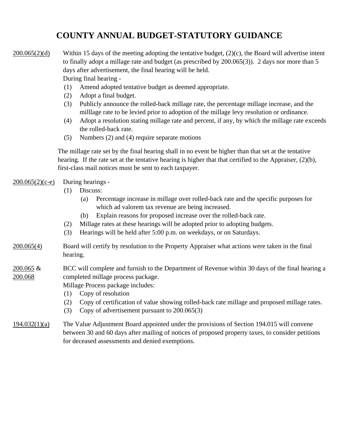## **COUNTY ANNUAL BUDGET-STATUTORY GUIDANCE**

#### 200.065(2)(d) Within 15 days of the meeting adopting the tentative budget, (2)(c), the Board will advertise intent to finally adopt a millage rate and budget (as prescribed by 200.065(3)). 2 days nor more than 5 days after advertisement, the final hearing will be held. During final hearing -

- (1) Amend adopted tentative budget as deemed appropriate.
- (2) Adopt a final budget.
- (3) Publicly announce the rolled-back millage rate, the percentage millage increase, and the milllage rate to be levied prior to adoption of the millage levy resolution or ordinance.
- (4) Adopt a resolution stating millage rate and percent, if any, by which the millage rate exceeds the rolled-back rate.
- (5) Numbers (2) and (4) require separate motions

The millage rate set by the final hearing shall in no event be higher than that set at the tentative hearing. If the rate set at the tentative hearing is higher that that certified to the Appraiser, (2)(b), first-class mail notices must be sent to each taxpayer.

#### $200.065(2)(c-e)$ During hearings -

- (1) Discuss:
	- (a) Percentage increase in millage over rolled-back rate and the specific purposes for which ad valorem tax revenue are being increased.
	- (b) Explain reasons for proposed increase over the rolled-back rate.
- (2) Millage rates at these hearings will be adopted prior to adopting budgets.
- (3) Hearings will be held after 5:00 p.m. on weekdays, or on Saturdays.
- $200.065(4)$ Board will certify by resolution to the Property Appraiser what actions were taken in the final hearing.

#### 200.065 & 200.068 BCC will complete and furnish to the Department of Revenue within 30 days of the final hearing a completed millage process package.

Millage Process package includes:

- (1) Copy of resolution
- (2) Copy of certification of value showing rolled-back rate millage and proposed millage rates.
- (3) Copy of advertisement pursuant to  $200.065(3)$

#### 194.032(1)(a) The Value Adjustment Board appointed under the provisions of Section 194.015 will convene between 30 and 60 days after mailing of notices of proposed property taxes, to consider petitions for deceased assessments and denied exemptions.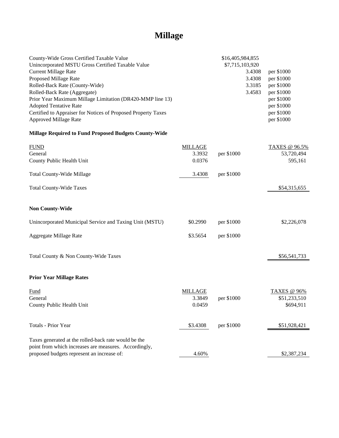# **Millage**

| County-Wide Gross Certified Taxable Value                     |                | \$16,405,984,855 |               |
|---------------------------------------------------------------|----------------|------------------|---------------|
| Unincorporated MSTU Gross Certified Taxable Value             |                | \$7,715,103,920  |               |
| <b>Current Millage Rate</b>                                   |                | 3.4308           | per \$1000    |
| Proposed Millage Rate                                         |                | 3.4308           | per \$1000    |
| Rolled-Back Rate (County-Wide)                                |                | 3.3185           | per \$1000    |
| Rolled-Back Rate (Aggregate)                                  |                | 3.4583           | per \$1000    |
| Prior Year Maximum Millage Limitation (DR420-MMP line 13)     |                |                  | per \$1000    |
| <b>Adopted Tentative Rate</b>                                 |                |                  | per \$1000    |
| Certified to Appraiser for Notices of Proposed Property Taxes |                |                  | per \$1000    |
| <b>Approved Millage Rate</b>                                  |                |                  | per \$1000    |
| <b>Millage Required to Fund Proposed Budgets County-Wide</b>  |                |                  |               |
| <b>FUND</b>                                                   | <b>MILLAGE</b> |                  | TAXES @ 96.5% |
| General                                                       | 3.3932         | per \$1000       | 53,720,494    |
| County Public Health Unit                                     | 0.0376         |                  | 595,161       |
| <b>Total County-Wide Millage</b>                              | 3.4308         | per \$1000       |               |
| <b>Total County-Wide Taxes</b>                                |                |                  | \$54,315,655  |
| <b>Non County-Wide</b>                                        |                |                  |               |
| Unincorporated Municipal Service and Taxing Unit (MSTU)       | \$0.2990       | per \$1000       | \$2,226,078   |
| Aggregate Millage Rate                                        | \$3.5654       | per \$1000       |               |
| Total County & Non County-Wide Taxes                          |                |                  | \$56,541,733  |
| <b>Prior Year Millage Rates</b>                               |                |                  |               |
| <b>Fund</b>                                                   | <b>MILLAGE</b> |                  | TAXES @ 96%   |
| General                                                       | 3.3849         | per \$1000       | \$51,233,510  |
| County Public Health Unit                                     | 0.0459         |                  | \$694,911     |
| <b>Totals - Prior Year</b>                                    | \$3.4308       | per \$1000       | \$51,928,421  |
| Taxes generated at the rolled-back rate would be the          |                |                  |               |
| point from which increases are measures. Accordingly,         |                |                  |               |
| proposed budgets represent an increase of:                    | 4.60%          |                  | \$2,387,234   |
|                                                               |                |                  |               |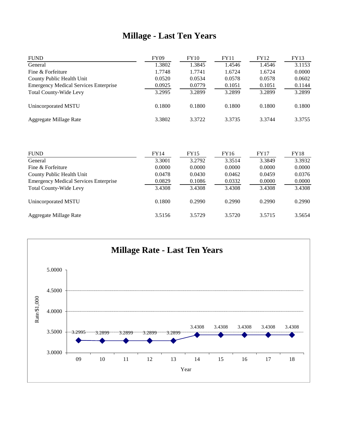# **Millage - Last Ten Years**

| <b>FUND</b>                                  | <b>FY09</b> | <b>FY10</b> | FY11   | <b>FY12</b> | FY13   |
|----------------------------------------------|-------------|-------------|--------|-------------|--------|
| General                                      | 1.3802      | 1.3845      | 1.4546 | 1.4546      | 3.1153 |
| Fine & Forfeiture                            | 1.7748      | 1.7741      | 1.6724 | 1.6724      | 0.0000 |
| County Public Health Unit                    | 0.0520      | 0.0534      | 0.0578 | 0.0578      | 0.0602 |
| <b>Emergency Medical Services Enterprise</b> | 0.0925      | 0.0779      | 0.1051 | 0.1051      | 0.1144 |
| <b>Total County-Wide Levy</b>                | 3.2995      | 3.2899      | 3.2899 | 3.2899      | 3.2899 |
| Unincorporated MSTU                          | 0.1800      | 0.1800      | 0.1800 | 0.1800      | 0.1800 |
| Aggregate Millage Rate                       | 3.3802      | 3.3722      | 3.3735 | 3.3744      | 3.3755 |

| <b>FUND</b>                                  | FY14   | FY15   | FY16   | <b>FY17</b> | FY18   |
|----------------------------------------------|--------|--------|--------|-------------|--------|
| General                                      | 3.3001 | 3.2792 | 3.3514 | 3.3849      | 3.3932 |
| Fine & Forfeiture                            | 0.0000 | 0.0000 | 0.0000 | 0.0000      | 0.0000 |
| County Public Health Unit                    | 0.0478 | 0.0430 | 0.0462 | 0.0459      | 0.0376 |
| <b>Emergency Medical Services Enterprise</b> | 0.0829 | 0.1086 | 0.0332 | 0.0000      | 0.0000 |
| <b>Total County-Wide Levy</b>                | 3.4308 | 3.4308 | 3.4308 | 3.4308      | 3.4308 |
| Unincorporated MSTU                          | 0.1800 | 0.2990 | 0.2990 | 0.2990      | 0.2990 |
| Aggregate Millage Rate                       | 3.5156 | 3.5729 | 3.5720 | 3.5715      | 3.5654 |

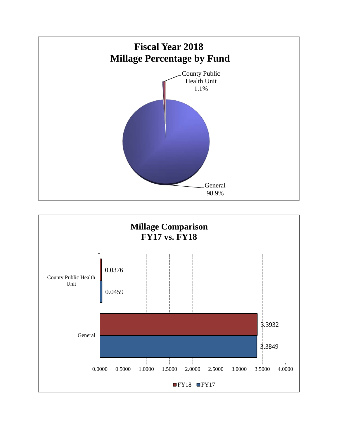

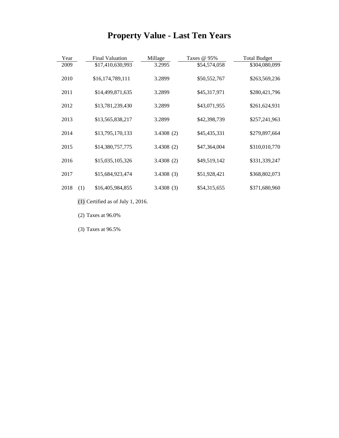# **Property Value - Last Ten Years**

| Year        | <b>Final Valuation</b> | Millage   | Taxes @ 95%  | <b>Total Budget</b> |
|-------------|------------------------|-----------|--------------|---------------------|
| 2009        | \$17,410,630,993       | 3.2995    | \$54,574,058 | \$304,080,099       |
| 2010        | \$16,174,789,111       | 3.2899    | \$50,552,767 | \$263,569,236       |
| 2011        | \$14,499,871,635       | 3.2899    | \$45,317,971 | \$280,421,796       |
| 2012        | \$13,781,239,430       | 3.2899    | \$43,071,955 | \$261,624,931       |
| 2013        | \$13,565,838,217       | 3.2899    | \$42,398,739 | \$257,241,963       |
| 2014        | \$13,795,170,133       | 3.4308(2) | \$45,435,331 | \$279,897,664       |
| 2015        | \$14,380,757,775       | 3.4308(2) | \$47,364,004 | \$310,010,770       |
| 2016        | \$15,035,105,326       | 3.4308(2) | \$49,519,142 | \$331,339,247       |
| 2017        | \$15,684,923,474       | 3.4308(3) | \$51,928,421 | \$368,802,073       |
| 2018<br>(1) | \$16,405,984,855       | 3.4308(3) | \$54,315,655 | \$371,680,960       |

- (1) Certified as of July 1, 2016.
- (2) Taxes at 96.0%

(3) Taxes at 96.5%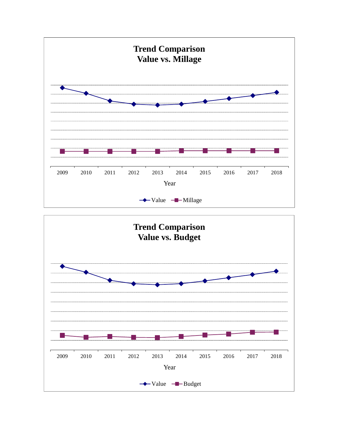

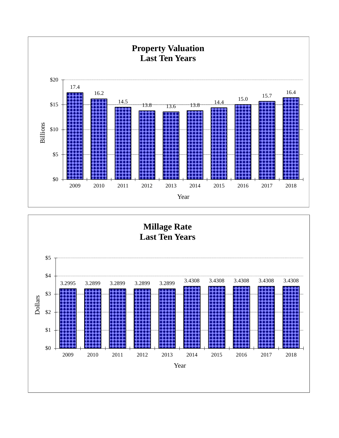

**Millage Rate Last Ten Years** 

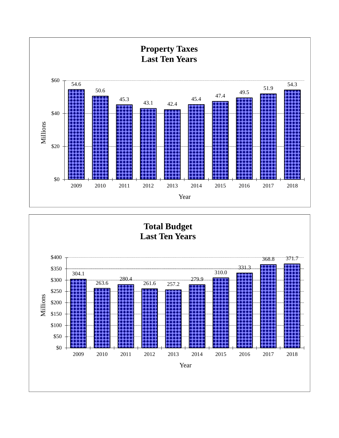

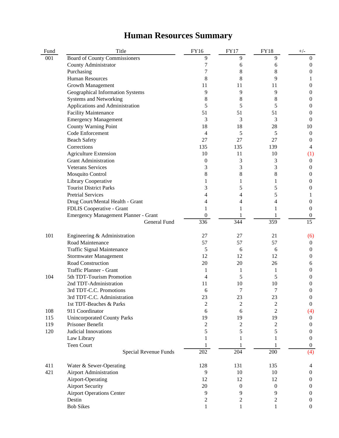### **Human Resources Summary**

| Fund | Title                                | FY16             | <b>FY17</b>      | <b>FY18</b>      | $+/-$            |
|------|--------------------------------------|------------------|------------------|------------------|------------------|
| 001  | <b>Board of County Commissioners</b> | 9                | 9                | 9                | $\boldsymbol{0}$ |
|      | County Administrator                 | 7                | 6                | 6                | 0                |
|      | Purchasing                           | 7                | 8                | 8                | 0                |
|      | <b>Human Resources</b>               | 8                | 8                | 9                |                  |
|      | Growth Management                    | 11               | 11               | 11               | 0                |
|      | Geographical Information Systems     | 9                | 9                | 9                | 0                |
|      | <b>Systems and Networking</b>        | 8                | 8                | 8                | 0                |
|      | Applications and Administration      | 5                | 5                | 5                | 0                |
|      | <b>Facility Maintenance</b>          | 51               | 51               | 51               | 0                |
|      | <b>Emergency Management</b>          | 3                | 3                | 3                | $\theta$         |
|      | County Warning Point                 | 18               | 18               | 28               | 10               |
|      | Code Enforcement                     | 4                | 5                | 5                | $\boldsymbol{0}$ |
|      | <b>Beach Safety</b>                  | 27               | 27               | 27               | 0                |
|      | Corrections                          | 135              | 135              | 139              | 4                |
|      | <b>Agriculture Extension</b>         | 10               | 11               | 10               | (1)              |
|      | <b>Grant Administration</b>          | $\boldsymbol{0}$ | 3                | 3                | $\boldsymbol{0}$ |
|      | <b>Veterans Services</b>             | 3                | 3                | 3                | 0                |
|      | <b>Mosquito Control</b>              | 8                | 8                | 8                | $\theta$         |
|      | Library Cooperative                  | 1                | 1                | 1                | $\theta$         |
|      | <b>Tourist District Parks</b>        | 3                | 5                | 5                | 0                |
|      | <b>Pretrial Services</b>             | 4                | 4                | 5                |                  |
|      | Drug Court/Mental Health - Grant     | 4                | 4                | 4                | $\theta$         |
|      | FDLIS Cooperative - Grant            |                  |                  |                  | $\Omega$         |
|      | Emergency Management Planner - Grant | $\boldsymbol{0}$ |                  |                  | $\bf{0}$         |
|      | General Fund                         | 336              | 344              | 359              | $\overline{15}$  |
|      |                                      |                  |                  |                  |                  |
| 101  | Engineering & Administration         | 27               | 27               | 21               | (6)              |
|      | Road Maintenance                     | 57               | 57               | 57               | $\boldsymbol{0}$ |
|      | <b>Traffic Signal Maintenance</b>    | 5                | 6                | 6                | 0                |
|      | <b>Stormwater Management</b>         | 12               | 12               | 12               | 0                |
|      | Road Construction                    | 20               | 20               | 26               | 6                |
|      | Traffic Planner - Grant              | 1                | 1                | 1                | 0                |
| 104  | 5th TDT-Tourism Promotion            | 4                | 5                | 5                | $\theta$         |
|      | 2nd TDT-Administration               | 11               | 10               | 10               | 0                |
|      | 3rd TDT-C.C. Promotions              | 6                | 7                | 7                | 0                |
|      | 3rd TDT-C.C. Administration          | 23               | 23               | 23               | $\boldsymbol{0}$ |
|      | 1st TDT-Beaches & Parks              | $\overline{2}$   | $\overline{2}$   | $\overline{c}$   | $\overline{0}$   |
| 108  | 911 Coordinator                      | 6                | 6                | $\overline{c}$   | (4)              |
| 115  | <b>Unincorporated County Parks</b>   | 19               | 19               | 19               | $\overline{0}$   |
| 119  | Prisoner Benefit                     | $\boldsymbol{2}$ | $\overline{2}$   | $\overline{c}$   | $\theta$         |
| 120  | Judicial Innovations                 | 5                | 5                | 5                | $\theta$         |
|      | Law Library                          | 1                | 1                | 1                | $\overline{0}$   |
|      | <b>Teen Court</b>                    |                  |                  |                  | $\overline{0}$   |
|      | Special Revenue Funds                | 202              | 204              | 200              | (4)              |
|      |                                      |                  |                  |                  |                  |
| 411  | Water & Sewer-Operating              | 128              | 131              | 135              | 4                |
| 421  | <b>Airport Administration</b>        | 9                | $10\,$           | 10               | $\boldsymbol{0}$ |
|      | Airport-Operating                    | 12               | 12               | 12               | $\theta$         |
|      | <b>Airport Security</b>              | 20               | $\boldsymbol{0}$ | $\boldsymbol{0}$ | $\theta$         |
|      | <b>Airport Operations Center</b>     | 9                | 9                | 9                | $\theta$         |
|      | Destin                               | $\overline{c}$   | $\boldsymbol{2}$ | $\overline{c}$   | 0                |
|      | <b>Bob Sikes</b>                     | 1                | 1                | 1                | $\overline{0}$   |
|      |                                      |                  |                  |                  |                  |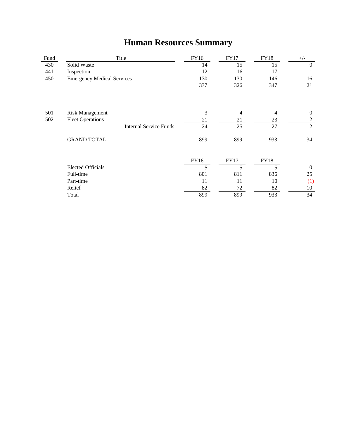# **Human Resources Summary**

| Fund | Title                             | FY16 | <b>FY17</b> | <b>FY18</b> | $+/-$            |
|------|-----------------------------------|------|-------------|-------------|------------------|
| 430  | Solid Waste                       | 14   | 15          | 15          | $\Omega$         |
| 441  | Inspection                        | 12   | 16          | 17          | 1                |
| 450  | <b>Emergency Medical Services</b> | 130  | 130         | 146         | 16               |
|      |                                   | 337  | 326         | 347         | 21               |
| 501  | <b>Risk Management</b>            | 3    | 4           | 4           | $\boldsymbol{0}$ |
| 502  | <b>Fleet Operations</b>           | 21   | 21          | 23          | $\overline{2}$   |
|      | <b>Internal Service Funds</b>     | 24   | 25          | 27          | $\overline{2}$   |
|      | <b>GRAND TOTAL</b>                | 899  | 899         | 933         | 34               |
|      |                                   | FY16 | <b>FY17</b> | <b>FY18</b> |                  |
|      | <b>Elected Officials</b>          | 5    | 5           | 5           | $\Omega$         |
|      | Full-time                         | 801  | 811         | 836         | 25               |
|      | Part-time                         | 11   | 11          | 10          | (1)              |
|      | Relief                            | 82   | 72          | 82          | 10               |
|      | Total                             | 899  | 899         | 933         | 34               |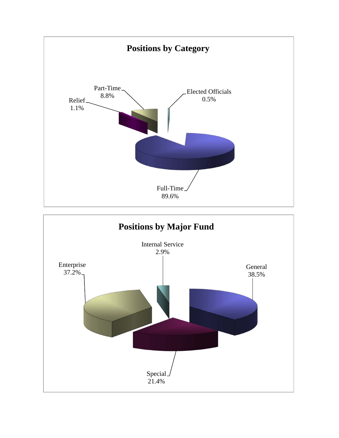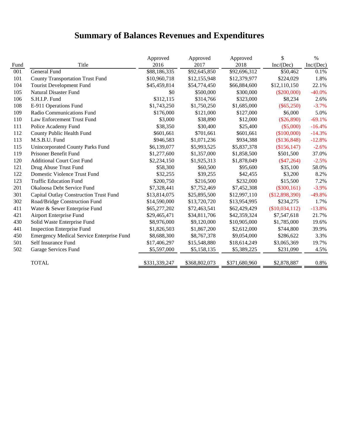### **Summary of Balances Revenues and Expenditures**

|      |                                                  | Approved      | Approved      | Approved      | \$             | $\%$      |
|------|--------------------------------------------------|---------------|---------------|---------------|----------------|-----------|
| Fund | Title                                            | 2016          | 2017          | 2018          | Inc/(Dec)      | Inc/(Dec) |
| 001  | General Fund                                     | \$88,186,335  | \$92,645,850  | \$92,696,312  | \$50,462       | 0.1%      |
| 101  | <b>County Transportation Trust Fund</b>          | \$10,960,718  | \$12,155,948  | \$12,379,977  | \$224,029      | 1.8%      |
| 104  | Tourist Development Fund                         | \$45,459,814  | \$54,774,450  | \$66,884,600  | \$12,110,150   | 22.1%     |
| 105  | <b>Natural Disaster Fund</b>                     | \$0           | \$500,000     | \$300,000     | $(\$200,000)$  | $-40.0%$  |
| 106  | S.H.I.P. Fund                                    | \$312,115     | \$314,766     | \$323,000     | \$8,234        | 2.6%      |
| 108  | E-911 Operations Fund                            | \$1,743,250   | \$1,750,250   | \$1,685,000   | $(\$65,250)$   | $-3.7%$   |
| 109  | Radio Communications Fund                        | \$176,000     | \$121,000     | \$127,000     | \$6,000        | 5.0%      |
| 110  | Law Enforcement Trust Fund                       | \$3,000       | \$38,890      | \$12,000      | $(\$26,890)$   | $-69.1%$  |
| 111  | Police Academy Fund                              | \$38,350      | \$30,400      | \$25,400      | $(\$5,000)$    | $-16.4%$  |
| 112  | County Public Health Fund                        | \$601,661     | \$701,661     | \$601,661     | (\$100,000)    | $-14.3%$  |
| 113  | M.S.B.U. Fund                                    | \$946,583     | \$1,071,236   | \$934,388     | (\$136,848)    | $-12.8%$  |
| 115  | Unincorporated County Parks Fund                 | \$6,139,077   | \$5,993,525   | \$5,837,378   | (\$156, 147)   | $-2.6%$   |
| 119  | Prisoner Benefit Fund                            | \$1,277,600   | \$1,357,000   | \$1,858,500   | \$501,500      | 37.0%     |
| 120  | <b>Additional Court Cost Fund</b>                | \$2,234,150   | \$1,925,313   | \$1,878,049   | $(\$47,264)$   | $-2.5%$   |
| 121  | Drug Abuse Trust Fund                            | \$58,300      | \$60,500      | \$95,600      | \$35,100       | 58.0%     |
| 122  | Domestic Violence Trust Fund                     | \$32,255      | \$39,255      | \$42,455      | \$3,200        | 8.2%      |
| 123  | <b>Traffic Education Fund</b>                    | \$200,750     | \$216,500     | \$232,000     | \$15,500       | 7.2%      |
| 201  | Okaloosa Debt Service Fund                       | \$7,328,441   | \$7,752,469   | \$7,452,308   | $(\$300,161)$  | $-3.9%$   |
| 301  | <b>Capital Outlay Construction Trust Fund</b>    | \$13,814,075  | \$25,895,500  | \$12,997,110  | (\$12,898,390) | $-49.8%$  |
| 302  | Road/Bridge Construction Fund                    | \$14,590,000  | \$13,720,720  | \$13,954,995  | \$234,275      | 1.7%      |
| 411  | Water & Sewer Enterprise Fund                    | \$65,277,202  | \$72,463,541  | \$62,429,429  | (\$10,034,112) | $-13.8%$  |
| 421  | Airport Enterprise Fund                          | \$29,465,471  | \$34,811,706  | \$42,359,324  | \$7,547,618    | 21.7%     |
| 430  | Solid Waste Enterprise Fund                      | \$8,976,000   | \$9,120,000   | \$10,905,000  | \$1,785,000    | 19.6%     |
| 441  | <b>Inspection Enterprise Fund</b>                | \$1,826,503   | \$1,867,200   | \$2,612,000   | \$744,800      | 39.9%     |
| 450  | <b>Emergency Medical Service Enterprise Fund</b> | \$8,688,300   | \$8,767,378   | \$9,054,000   | \$286,622      | 3.3%      |
| 501  | Self Insurance Fund                              | \$17,406,297  | \$15,548,880  | \$18,614,249  | \$3,065,369    | 19.7%     |
| 502  | Garage Services Fund                             | \$5,597,000   | \$5,158,135   | \$5,389,225   | \$231,090      | 4.5%      |
|      | <b>TOTAL</b>                                     | \$331,339,247 | \$368,802,073 | \$371,680,960 | \$2,878,887    | 0.8%      |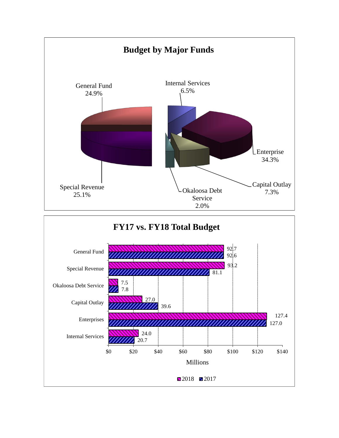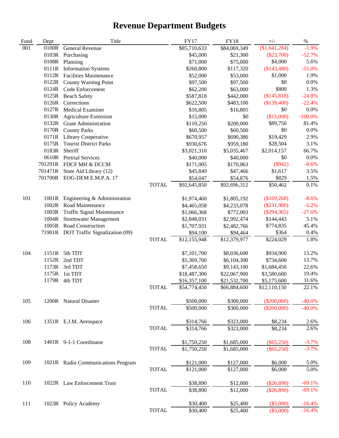# **Revenue Department Budgets**

| Fund | Dept    | Title                                 |              | <b>FY17</b>  | <b>FY18</b>  | $+/-$         | $\%$      |
|------|---------|---------------------------------------|--------------|--------------|--------------|---------------|-----------|
| 001  | 0100R   | General Revenue                       |              | \$85,710,633 | \$84,069,349 | (\$1,641,284) | $-1.9%$   |
|      | 0103R   | Purchasing                            |              | \$45,000     | \$21,300     | $(\$23,700)$  | $-52.7%$  |
|      | 0108R   | Planning                              |              | \$71,000     | \$75,000     | \$4,000       | 5.6%      |
|      | 0111R   | <b>Information Systems</b>            |              | \$260,800    | \$117,320    | (\$143,480)   | $-55.0%$  |
|      | 0112R   | <b>Facilities Maintenance</b>         |              | \$52,000     | \$53,000     | \$1,000       | 1.9%      |
|      | 0122R   | <b>County Warning Point</b>           |              | \$97,500     | \$97,500     | \$0           | 0.0%      |
|      | 0124R   | Code Enforcement                      |              | \$62,200     | \$63,000     | \$800         | 1.3%      |
|      | 0125R   | <b>Beach Safety</b>                   |              | \$587,818    | \$442,000    | (\$145,818)   | $-24.8%$  |
|      | 0126R   | Corrections                           |              | \$622,500    | \$483,100    | $(\$139,400)$ | $-22.4%$  |
|      | 0127R   | Medical Examiner                      |              | \$16,805     | \$16,805     | \$0           | 0.0%      |
|      | 0130R   | <b>Agriculture Extension</b>          |              | \$15,000     | \$0          | (\$15,000)    | $-100.0%$ |
|      |         | 0132R Grant Administration            |              | \$110,250    | \$200,000    | \$89,750      | 81.4%     |
|      | 0170R   | <b>County Parks</b>                   |              | \$60,500     | \$60,500     | \$0           | 0.0%      |
|      |         | 0171R Library Cooperative             |              | \$670,957    | \$690,386    | \$19,429      | 2.9%      |
|      | 0175R   | <b>Tourist District Parks</b>         |              | \$930,676    | \$959,180    | \$28,504      | 3.1%      |
|      | 0183R   | Sheriff                               |              | \$3,021,310  | \$5,035,467  | \$2,014,157   | 66.7%     |
|      | 0610R   | <b>Pretrial Services</b>              |              | \$40,000     | \$40,000     | \$0           | 0.0%      |
|      | 701291R | FDCF MH & DCCM                        |              | \$171,005    | \$170,063    | $(\$942)$     | $-0.6%$   |
|      | 701471R | State Aid Library (12)                |              | \$45,849     | \$47,466     | \$1,617       | 3.5%      |
|      |         | 701700R EOG-DEM E.M.P.A. 17           |              | \$54,047     | \$54,876     | \$829         | 1.5%      |
|      |         |                                       | <b>TOTAL</b> | \$92,645,850 | \$92,696,312 | \$50,462      | 0.1%      |
|      |         |                                       |              |              |              |               |           |
| 101  | 1001R   | Engineering & Administration          |              | \$1,974,460  | \$1,805,192  | (\$169,268)   | $-8.6%$   |
|      | 1002R   | Road Maintenance                      |              | \$4,465,058  | \$4,233,078  | $(\$231,980)$ | $-5.2%$   |
|      | 1003R   | Traffic Signal Maintenance            |              | \$1,066,368  | \$772,003    | $(\$294,365)$ | $-27.6%$  |
|      | 1004R   | <b>Stormwater Management</b>          |              | \$2,848,031  | \$2,992,474  | \$144,443     | 5.1%      |
|      |         | 1005R Road Construction               |              | \$1,707,931  | \$2,482,766  | \$774,835     | 45.4%     |
|      |         | 71901R DOT Traffic Signalization (09) |              | \$94,100     | \$94,464     | \$364         | 0.4%      |
|      |         |                                       | <b>TOTAL</b> | \$12,155,948 | \$12,379,977 | \$224,029     | 1.8%      |
| 104  | 1151R   | 5th TDT                               |              | \$7,101,700  | \$8,036,600  | \$934,900     | 13.2%     |
|      | 1152R   | 2nd TDT                               |              | \$5,369,700  | \$6,104,300  | \$734,600     | 13.7%     |
|      | 1173R   | 3rd TDT                               |              | \$7,458,650  | \$9,143,100  | \$1,684,450   | 22.6%     |
|      | 1175R   | 1st TDT                               |              | \$18,487,300 | \$22,067,900 | \$3,580,600   | 19.4%     |
|      | 1179R   | 4th TDT                               |              | \$16,357,100 | \$21,532,700 | \$5,175,600   | 31.6%     |
|      |         |                                       | TOTAL        | \$54,774,450 | \$66,884,600 | \$12,110,150  | 22.1%     |
| 105  |         | 1200R Natural Disaster                |              | \$500,000    | \$300,000    | $(\$200,000)$ | $-40.0\%$ |
|      |         |                                       | <b>TOTAL</b> | \$500,000    | \$300,000    | $(\$200,000)$ | $-40.0\%$ |
| 106  |         | 1351R E.J.M. Aerospace                |              | \$314,766    | \$323,000    | \$8,234       | 2.6%      |
|      |         |                                       | <b>TOTAL</b> | \$314,766    | \$323,000    | \$8,234       | 2.6%      |
| 108  |         | 1401R 9-1-1 Coordinator               |              | \$1,750,250  | \$1,685,000  | $(\$65,250)$  | $-3.7%$   |
|      |         |                                       | <b>TOTAL</b> | \$1,750,250  | \$1,685,000  | $(\$65,250)$  | $-3.7%$   |
| 109  |         | 1021R Radio Communications Program    |              | \$121,000    | \$127,000    | \$6,000       | 5.0%      |
|      |         |                                       | <b>TOTAL</b> | \$121,000    | \$127,000    | \$6,000       | 5.0%      |
| 110  |         | 1022R Law Enforcement Trust           |              | \$38,890     | \$12,000     | $(\$26,890)$  | $-69.1%$  |
|      |         |                                       | <b>TOTAL</b> | \$38,890     | \$12,000     | $(\$26,890)$  | $-69.1%$  |
| 111  |         | 1023R Policy Academy                  |              | \$30,400     | \$25,400     | $(\$5,000)$   | $-16.4%$  |
|      |         |                                       | <b>TOTAL</b> | \$30,400     | \$25,400     | $(\$5,000)$   | $-16.4%$  |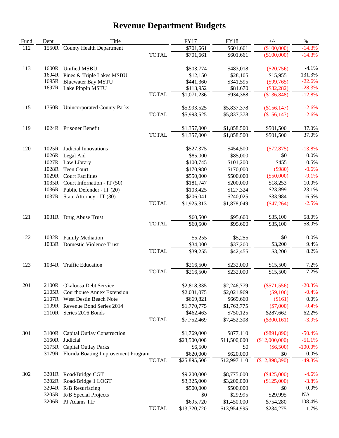# **Revenue Department Budgets**

| Fund | Dept  | Title                                     |              | <b>FY17</b>  | <b>FY18</b>  | $+/-$          | $\%$      |
|------|-------|-------------------------------------------|--------------|--------------|--------------|----------------|-----------|
| 112  | 1550R | <b>County Health Department</b>           |              | \$701,661    | \$601,661    | (\$100,000)    | $-14.3%$  |
|      |       |                                           | <b>TOTAL</b> | \$701,661    | \$601,661    | (\$100,000)    | $-14.3%$  |
| 113  | 1600R | <b>Unified MSBU</b>                       |              | \$503,774    | \$483,018    | $(\$20,756)$   | $-4.1%$   |
|      | 1694R | Pines & Triple Lakes MSBU                 |              | \$12,150     | \$28,105     | \$15,955       | 131.3%    |
|      | 1695R | <b>Bluewater Bay MSTU</b>                 |              | \$441,360    | \$341,595    | $(\$99,765)$   | $-22.6%$  |
|      | 1697R | Lake Pippin MSTU                          |              | \$113,952    | \$81,670     | $(\$32,282)$   | $-28.3%$  |
|      |       |                                           | <b>TOTAL</b> | \$1,071,236  | \$934,388    | (\$136,848)    | $-12.8%$  |
| 115  | 1750R | <b>Unincorporated County Parks</b>        |              | \$5,993,525  | \$5,837,378  | (\$156, 147)   | $-2.6%$   |
|      |       |                                           | <b>TOTAL</b> | \$5,993,525  | \$5,837,378  | (\$156, 147)   | $-2.6%$   |
| 119  |       | 1024R Prisoner Benefit                    |              | \$1,357,000  | \$1,858,500  | \$501,500      | 37.0%     |
|      |       |                                           | <b>TOTAL</b> | \$1,357,000  | \$1,858,500  | \$501,500      | 37.0%     |
| 120  | 1025R | Judicial Innovations                      |              | \$527,375    | \$454,500    | $(\$72,875)$   | $-13.8%$  |
|      | 1026R | Legal Aid                                 |              | \$85,000     | \$85,000     | \$0            | 0.0%      |
|      | 1027R | Law Library                               |              | \$100,745    | \$101,200    | \$455          | 0.5%      |
|      | 1028R | Teen Court                                |              | \$170,980    | \$170,000    | (\$980)        | $-0.6%$   |
|      | 1029R | <b>Court Facilities</b>                   |              | \$550,000    | \$500,000    | $(\$50,000)$   | $-9.1%$   |
|      |       | 1035R Court Information - IT (50)         |              | \$181,747    | \$200,000    | \$18,253       | 10.0%     |
|      |       | 1036R Public Defender - IT (20)           |              | \$103,425    | \$127,324    | \$23,899       | 23.1%     |
|      |       | 1037R State Attorney - IT (30)            |              | \$206,041    | \$240,025    | \$33,984       | 16.5%     |
|      |       |                                           | <b>TOTAL</b> | \$1,925,313  | \$1,878,049  | $(\$47,264)$   | $-2.5%$   |
| 121  |       | 1031R Drug Abuse Trust                    |              | \$60,500     | \$95,600     | \$35,100       | 58.0%     |
|      |       |                                           | <b>TOTAL</b> | \$60,500     | \$95,600     | \$35,100       | 58.0%     |
| 122  |       | 1032R Family Mediation                    |              | \$5,255      | \$5,255      | \$0            | 0.0%      |
|      |       | 1033R Domestic Violence Trust             |              | \$34,000     | \$37,200     | \$3,200        | 9.4%      |
|      |       |                                           | <b>TOTAL</b> | \$39,255     | \$42,455     | \$3,200        | 8.2%      |
| 123  | 1034R | <b>Traffic Education</b>                  |              | \$216,500    | \$232,000    | \$15,500       | 7.2%      |
|      |       |                                           | <b>TOTAL</b> | \$216,500    | \$232,000    | \$15,500       | 7.2%      |
| 201  |       | 2100R Okaloosa Debt Service               |              | \$2,818,335  | \$2,246,779  | $(\$571,556)$  | $-20.3%$  |
|      |       | 2105R Courthouse Annex Extension          |              | \$2,031,075  | \$2,021,969  | $(\$9,106)$    | $-0.4%$   |
|      |       | 2107R West Destin Beach Note              |              | \$669,821    | \$669,660    | (\$161)        | 0.0%      |
|      |       | 2109R Revenue Bond Series 2014            |              | \$1,770,775  | \$1,763,775  | $(\$7,000)$    | $-0.4%$   |
|      |       | 2110R Series 2016 Bonds                   |              | \$462,463    | \$750,125    | \$287,662      | 62.2%     |
|      |       |                                           | <b>TOTAL</b> | \$7,752,469  | \$7,452,308  | $(\$300,161)$  | $-3.9%$   |
| 301  | 3100R | <b>Capital Outlay Construction</b>        |              | \$1,769,000  | \$877,110    | $(\$891,890)$  | $-50.4%$  |
|      | 3160R | Judicial                                  |              | \$23,500,000 | \$11,500,000 | (\$12,000,000) | $-51.1%$  |
|      | 3175R | <b>Capital Outlay Parks</b>               |              | \$6,500      | \$0          | $(\$6,500)$    | $-100.0%$ |
|      |       | 3179R Florida Boating Improvement Program |              | \$620,000    | \$620,000    | \$0            | 0.0%      |
|      |       |                                           | <b>TOTAL</b> | \$25,895,500 | \$12,997,110 | (\$12,898,390) | $-49.8%$  |
| 302  | 3201R | Road/Bridge CGT                           |              | \$9,200,000  | \$8,775,000  | $(\$425,000)$  | $-4.6%$   |
|      | 3202R | Road/Bridge 1 LOGT                        |              | \$3,325,000  | \$3,200,000  | (\$125,000)    | $-3.8%$   |
|      | 3204R | R/B Resurfacing                           |              | \$500,000    | \$500,000    | \$0            | 0.0%      |
|      | 3205R | R/B Special Projects                      |              | \$0          | \$29,995     | \$29,995       | NA        |
|      |       | 3206R PJ Adams TIF                        |              | \$695,720    | \$1,450,000  | \$754,280      | 108.4%    |
|      |       |                                           | <b>TOTAL</b> | \$13,720,720 | \$13,954,995 | \$234,275      | 1.7%      |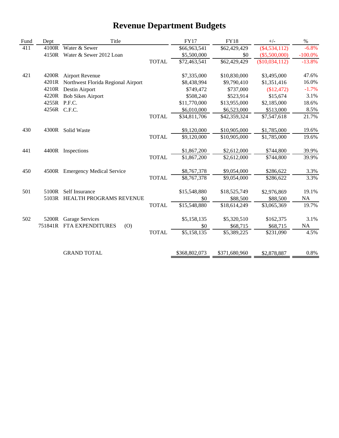# **Revenue Department Budgets**

| Fund | Dept         | Title                              |              | <b>FY17</b>   | <b>FY18</b>   | $+/-$           | $\%$       |
|------|--------------|------------------------------------|--------------|---------------|---------------|-----------------|------------|
| 411  | 4100R        | Water & Sewer                      |              | \$66,963,541  | \$62,429,429  | $(\$4,534,112)$ | $-6.8%$    |
|      | 4150R        | Water & Sewer 2012 Loan            |              | \$5,500,000   | \$0           | $(\$5,500,000)$ | $-100.0\%$ |
|      |              |                                    | <b>TOTAL</b> | \$72,463,541  | \$62,429,429  | (\$10,034,112)  | $-13.8%$   |
| 421  | 4200R        | <b>Airport Revenue</b>             |              | \$7,335,000   | \$10,830,000  | \$3,495,000     | 47.6%      |
|      | 4201R        | Northwest Florida Regional Airport |              | \$8,438,994   | \$9,790,410   | \$1,351,416     | 16.0%      |
|      | 4210R        | Destin Airport                     |              | \$749,472     | \$737,000     | \$12,472        | $-1.7%$    |
|      | 4220R        | <b>Bob Sikes Airport</b>           |              | \$508,240     | \$523,914     | \$15,674        | 3.1%       |
|      | 4255R P.F.C. |                                    |              | \$11,770,000  | \$13,955,000  | \$2,185,000     | 18.6%      |
|      |              | 4256R C.F.C.                       |              | \$6,010,000   | \$6,523,000   | \$513,000       | 8.5%       |
|      |              |                                    | <b>TOTAL</b> | \$34,811,706  | \$42,359,324  | \$7,547,618     | 21.7%      |
| 430  | 4300R        | Solid Waste                        |              | \$9,120,000   | \$10,905,000  | \$1,785,000     | 19.6%      |
|      |              |                                    | <b>TOTAL</b> | \$9,120,000   | \$10,905,000  | \$1,785,000     | 19.6%      |
| 441  | 4400R        | Inspections                        |              | \$1,867,200   | \$2,612,000   | \$744,800       | 39.9%      |
|      |              |                                    | <b>TOTAL</b> | \$1,867,200   | \$2,612,000   | \$744,800       | 39.9%      |
| 450  |              | 4500R Emergency Medical Service    |              | \$8,767,378   | \$9,054,000   | \$286,622       | 3.3%       |
|      |              |                                    | <b>TOTAL</b> | \$8,767,378   | \$9,054,000   | \$286,622       | 3.3%       |
| 501  | 5100R        | Self Insurance                     |              | \$15,548,880  | \$18,525,749  | \$2,976,869     | 19.1%      |
|      | 5103R        | HEALTH PROGRAMS REVENUE            |              | \$0           | \$88,500      | \$88,500        | NA         |
|      |              |                                    | <b>TOTAL</b> | \$15,548,880  | \$18,614,249  | \$3,065,369     | 19.7%      |
| 502  | 5200R        | <b>Garage Services</b>             |              | \$5,158,135   | \$5,320,510   | \$162,375       | 3.1%       |
|      | 751841R      | FTA EXPENDITURES<br>(0)            |              | \$0           | \$68,715      | \$68,715        | <b>NA</b>  |
|      |              |                                    | <b>TOTAL</b> | \$5,158,135   | \$5,389,225   | \$231,090       | 4.5%       |
|      |              |                                    |              |               |               |                 |            |
|      |              | <b>GRAND TOTAL</b>                 |              | \$368,802,073 | \$371,680,960 | \$2,878,887     | 0.8%       |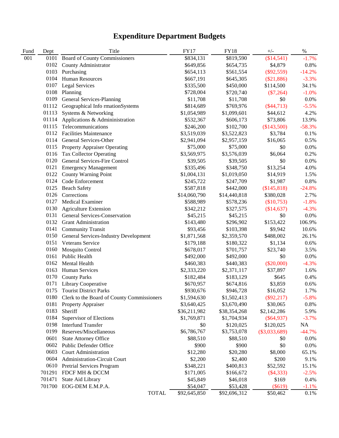| Fund | Dept   | Title                                      | <b>FY17</b>  | <b>FY18</b>  | $+/-$           | $\%$     |
|------|--------|--------------------------------------------|--------------|--------------|-----------------|----------|
| 001  | 0101   | <b>Board of County Commissioners</b>       | \$834,131    | \$819,590    | (\$14,541)      | $-1.7%$  |
|      | 0102   | County Administrator                       | \$649,856    | \$654,735    | \$4,879         | 0.8%     |
|      | 0103   | Purchasing                                 | \$654,113    | \$561,554    | $(\$92,559)$    | $-14.2%$ |
|      | 0104   | <b>Human Resources</b>                     | \$667,191    | \$645,305    | (\$21,886)      | $-3.3%$  |
|      | 0107   | Legal Services                             | \$335,500    | \$450,000    | \$114,500       | 34.1%    |
|      | 0108   | Planning                                   | \$728,004    | \$720,740    | $(\$7,264)$     | $-1.0%$  |
|      | 0109   | General Services-Planning                  | \$11,708     | \$11,708     | \$0             | 0.0%     |
|      | 01112  | Geographical Info rmationSystems           | \$814,689    | \$769,976    | $(\$44,713)$    | $-5.5%$  |
|      | 01113  | Systems & Networking                       | \$1,054,989  | \$1,099,601  | \$44,612        | 4.2%     |
|      | 01114  | Applications & Admininistration            | \$532,367    | \$606,173    | \$73,806        | 13.9%    |
|      | 01115  | Telecommunications                         | \$246,200    | \$102,700    | (\$143,500)     | $-58.3%$ |
|      |        | 0112 Facilities Maintenance                | \$3,519,039  | \$3,522,823  | \$3,784         | 0.1%     |
|      | 0114   | <b>General Services-Other</b>              | \$2,941,094  | \$2,957,159  | \$16,065        | 0.5%     |
|      | 0115   | <b>Property Appraiser Operating</b>        | \$75,000     | \$75,000     | \$0             | 0.0%     |
|      | 0116   | <b>Tax Collector Operating</b>             | \$3,569,975  | \$3,576,039  | \$6,064         | 0.2%     |
|      | 0120   | General Services-Fire Control              | \$39,505     | \$39,505     | \$0             | 0.0%     |
|      | 0121   | <b>Emergency Management</b>                | \$335,496    | \$348,750    | \$13,254        | 4.0%     |
|      | 0122   | <b>County Warning Point</b>                | \$1,004,131  | \$1,019,050  | \$14,919        | 1.5%     |
|      | 0124   | Code Enforcement                           | \$245,722    | \$247,709    | \$1,987         | 0.8%     |
|      | 0125   | <b>Beach Safety</b>                        | \$587,818    | \$442,000    | (\$145,818)     | $-24.8%$ |
|      | 0126   | Corrections                                | \$14,060,790 | \$14,440,818 | \$380,028       | 2.7%     |
|      |        | 0127 Medical Examiner                      | \$588,989    | \$578,236    | $(\$10,753)$    | $-1.8%$  |
|      | 0130   | <b>Agriculture Extension</b>               | \$342,212    | \$327,575    | (\$14,637)      | $-4.3%$  |
|      | 0131   | General Services-Conservation              | \$45,215     | \$45,215     | \$0             | 0.0%     |
|      | 0132   | <b>Grant Administration</b>                | \$143,480    | \$296,902    | \$153,422       | 106.9%   |
|      |        | 0141 Community Transit                     | \$93,456     | \$103,398    | \$9,942         | 10.6%    |
|      |        | 0150 General Services-Industry Development | \$1,871,568  | \$2,359,570  | \$488,002       | 26.1%    |
|      |        | 0151 Veterans Service                      | \$179,188    | \$180,322    | \$1,134         | 0.6%     |
|      | 0160   | <b>Mosquito Control</b>                    | \$678,017    | \$701,757    | \$23,740        | 3.5%     |
|      | 0161   | Public Health                              | \$492,000    | \$492,000    | \$0             | 0.0%     |
|      | 0162   | Mental Health                              | \$460,383    | \$440,383    | $(\$20,000)$    | $-4.3%$  |
|      | 0163   | Human Services                             | \$2,333,220  | \$2,371,117  | \$37,897        | 1.6%     |
|      | 0170   | <b>County Parks</b>                        | \$182,484    | \$183,129    | \$645           | 0.4%     |
|      | 0171   | Library Cooperative                        | \$670,957    | \$674,816    | \$3,859         | 0.6%     |
|      | 0175   | <b>Tourist District Parks</b>              | \$930,676    | \$946,728    | \$16,052        | 1.7%     |
|      | 0180   | Clerk to the Board of County Commissioners | \$1,594,630  | \$1,502,413  | $(\$92,217)$    | $-5.8\%$ |
|      | 0181   | Property Appraiser                         | \$3,640,425  | \$3,670,490  | \$30,065        | 0.8%     |
|      | 0183   | Sheriff                                    | \$36,211,982 | \$38,354,268 | \$2,142,286     | 5.9%     |
|      | 0184   | Supervisor of Elections                    | \$1,769,871  | \$1,704,934  | $(\$64,937)$    | $-3.7%$  |
|      | 0198   | <b>Interfund Transfer</b>                  | \$0          | \$120,025    | \$120,025       | $\rm NA$ |
|      | 0199   | Reserves/Miscellaneous                     | \$6,786,767  | \$3,753,078  | $(\$3,033,689)$ | $-44.7%$ |
|      | 0601   | <b>State Attorney Office</b>               | \$88,510     | \$88,510     | \$0             | 0.0%     |
|      | 0602   | Public Defender Office                     | \$900        | \$900        | \$0             | 0.0%     |
|      | 0603   | <b>Court Administration</b>                | \$12,280     | \$20,280     | \$8,000         | 65.1%    |
|      | 0604   | Administration-Circuit Court               | \$2,200      | \$2,400      | \$200           | 9.1%     |
|      | 0610   | Pretrial Services Program                  | \$348,221    | \$400,813    | \$52,592        | 15.1%    |
|      | 701291 | FDCF MH & DCCM                             | \$171,005    | \$166,672    | $(\$4,333)$     | $-2.5%$  |
|      | 701471 | State Aid Library                          | \$45,849     | \$46,018     | \$169           | 0.4%     |
|      | 701700 | EOG-DEM E.M.P.A.                           | \$54,047     | \$53,428     | $(\$619)$       | $-1.1%$  |
|      |        | <b>TOTAL</b>                               | \$92,645,850 | \$92,696,312 | \$50,462        | 0.1%     |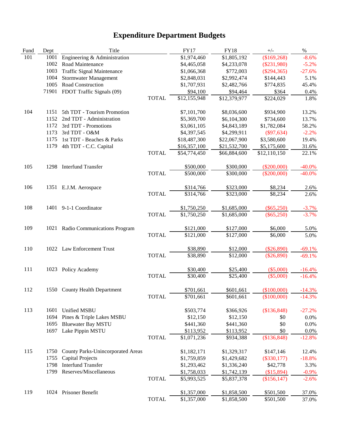| Fund | Dept | Title                                    |              | <b>FY17</b>  | <b>FY18</b>  | $+/-$         | $\%$      |
|------|------|------------------------------------------|--------------|--------------|--------------|---------------|-----------|
| 101  | 1001 | Engineering & Administration             |              | \$1,974,460  | \$1,805,192  | (\$169,268)   | $-8.6%$   |
|      | 1002 | Road Maintenance                         |              | \$4,465,058  | \$4,233,078  | $(\$231,980)$ | $-5.2%$   |
|      | 1003 | <b>Traffic Signal Maintenance</b>        |              | \$1,066,368  | \$772,003    | $(\$294,365)$ | $-27.6%$  |
|      | 1004 | <b>Stormwater Management</b>             |              | \$2,848,031  | \$2,992,474  | \$144,443     | 5.1%      |
|      | 1005 | Road Construction                        |              | \$1,707,931  | \$2,482,766  | \$774,835     | 45.4%     |
|      |      | 71901 FDOT Traffic Signals (09)          |              | \$94,100     | \$94,464     | \$364         | 0.4%      |
|      |      |                                          | <b>TOTAL</b> | \$12,155,948 | \$12,379,977 | \$224,029     | 1.8%      |
| 104  | 1151 | 5th TDT - Tourism Promotion              |              | \$7,101,700  | \$8,036,600  | \$934,900     | 13.2%     |
|      | 1152 | 2nd TDT - Administration                 |              | \$5,369,700  | \$6,104,300  | \$734,600     | 13.7%     |
|      | 1172 | 3rd TDT - Promotions                     |              | \$3,061,105  | \$4,843,189  | \$1,782,084   | 58.2%     |
|      | 1173 | 3rd TDT - O&M                            |              | \$4,397,545  | \$4,299,911  | $(\$97,634)$  | $-2.2%$   |
|      | 1175 | 1st TDT - Beaches & Parks                |              | \$18,487,300 | \$22,067,900 | \$3,580,600   | 19.4%     |
|      | 1179 | 4th TDT - C.C. Capital                   |              | \$16,357,100 | \$21,532,700 | \$5,175,600   | 31.6%     |
|      |      |                                          | <b>TOTAL</b> | \$54,774,450 | \$66,884,600 | \$12,110,150  | 22.1%     |
| 105  | 1298 | <b>Interfund Transfer</b>                |              | \$500,000    | \$300,000    | $(\$200,000)$ | $-40.0\%$ |
|      |      |                                          | <b>TOTAL</b> | \$500,000    | \$300,000    | $(\$200,000)$ | $-40.0\%$ |
| 106  |      | 1351 E.J.M. Aerospace                    |              | \$314,766    | \$323,000    | \$8,234       | 2.6%      |
|      |      |                                          | <b>TOTAL</b> | \$314,766    | \$323,000    | \$8,234       | 2.6%      |
| 108  | 1401 | 9-1-1 Coordinator                        |              | \$1,750,250  | \$1,685,000  | $(\$65,250)$  | $-3.7%$   |
|      |      |                                          | <b>TOTAL</b> | \$1,750,250  | \$1,685,000  | $(\$65,250)$  | $-3.7%$   |
| 109  | 1021 | Radio Communications Program             |              | \$121,000    | \$127,000    | \$6,000       | 5.0%      |
|      |      |                                          | <b>TOTAL</b> | \$121,000    | \$127,000    | \$6,000       | 5.0%      |
| 110  |      | 1022 Law Enforcement Trust               |              | \$38,890     | \$12,000     | $(\$26,890)$  | $-69.1%$  |
|      |      |                                          | <b>TOTAL</b> | \$38,890     | \$12,000     | $(\$26,890)$  | $-69.1%$  |
| 111  |      | 1023 Policy Academy                      |              | \$30,400     | \$25,400     | $(\$5,000)$   | $-16.4%$  |
|      |      |                                          | <b>TOTAL</b> | \$30,400     | \$25,400     | $(\$5,000)$   | $-16.4%$  |
| 112  |      | 1550 County Health Department            |              | \$701,661    | \$601,661    | (\$100,000)   | $-14.3%$  |
|      |      |                                          | TOTAL        | \$701,661    | \$601,661    | (\$100,000)   | $-14.3%$  |
| 113  | 1601 | Unified MSBU                             |              | \$503,774    | \$366,926    | (\$136,848)   | $-27.2%$  |
|      | 1694 | Pines & Triple Lakes MSBU                |              | \$12,150     | \$12,150     | \$0           | 0.0%      |
|      | 1695 | <b>Bluewater Bay MSTU</b>                |              | \$441,360    | \$441,360    | \$0           | 0.0%      |
|      | 1697 | Lake Pippin MSTU                         |              | \$113,952    | \$113,952    | \$0           | 0.0%      |
|      |      |                                          | <b>TOTAL</b> | \$1,071,236  | \$934,388    | (\$136,848)   | $-12.8%$  |
| 115  | 1750 | <b>County Parks-Unincorporated Areas</b> |              | \$1,182,171  | \$1,329,317  | \$147,146     | 12.4%     |
|      | 1755 | <b>Capital Projects</b>                  |              | \$1,759,859  | \$1,429,682  | $(\$330,177)$ | $-18.8%$  |
|      | 1798 | <b>Interfund Transfer</b>                |              | \$1,293,462  | \$1,336,240  | \$42,778      | 3.3%      |
|      | 1799 | Reserves/Miscellaneous                   |              | \$1,758,033  | \$1,742,139  | (\$15,894)    | $-0.9\%$  |
|      |      |                                          | <b>TOTAL</b> | \$5,993,525  | \$5,837,378  | (\$156, 147)  | $-2.6%$   |
| 119  |      | 1024 Prisoner Benefit                    |              | \$1,357,000  | \$1,858,500  | \$501,500     | 37.0%     |
|      |      |                                          | <b>TOTAL</b> | \$1,357,000  | \$1,858,500  | \$501,500     | 37.0%     |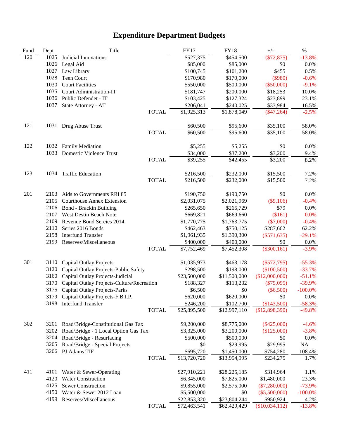| Fund | Dept | Title                                      | <b>FY17</b>  | <b>FY18</b>  | $+/-$           | $\%$       |
|------|------|--------------------------------------------|--------------|--------------|-----------------|------------|
| 120  | 1025 | Judicial Innovations                       | \$527,375    | \$454,500    | $(\$72,875)$    | $-13.8%$   |
|      | 1026 | Legal Aid                                  | \$85,000     | \$85,000     | \$0             | 0.0%       |
|      | 1027 | Law Library                                | \$100,745    | \$101,200    | \$455           | 0.5%       |
|      | 1028 | <b>Teen Court</b>                          | \$170,980    | \$170,000    | (\$980)         | $-0.6%$    |
|      | 1030 | <b>Court Facilities</b>                    | \$550,000    | \$500,000    | $(\$50,000)$    | $-9.1%$    |
|      | 1035 | <b>Court Administration-IT</b>             | \$181,747    | \$200,000    | \$18,253        | 10.0%      |
|      | 1036 | Public Defendet - IT                       | \$103,425    | \$127,324    | \$23,899        | 23.1%      |
|      | 1037 | State Attorney - AT                        | \$206,041    | \$240,025    | \$33,984        | 16.5%      |
|      |      | <b>TOTAL</b>                               | \$1,925,313  | \$1,878,049  | $(\$47,264)$    | $-2.5%$    |
| 121  |      | 1031 Drug Abuse Trust                      | \$60,500     | \$95,600     | \$35,100        | 58.0%      |
|      |      | <b>TOTAL</b>                               | \$60,500     | \$95,600     | \$35,100        | 58.0%      |
| 122  |      | 1032 Family Mediation                      | \$5,255      | \$5,255      | \$0             | 0.0%       |
|      |      | 1033 Domestic Violence Trust               | \$34,000     | \$37,200     | \$3,200         | 9.4%       |
|      |      | <b>TOTAL</b>                               | \$39,255     | \$42,455     | \$3,200         | 8.2%       |
| 123  | 1034 | <b>Traffic Education</b>                   | \$216,500    | \$232,000    | \$15,500        | 7.2%       |
|      |      | <b>TOTAL</b>                               | \$216,500    | \$232,000    | \$15,500        | 7.2%       |
| 201  | 2103 | Aids to Governments RRI 85                 | \$190,750    | \$190,750    | \$0             | 0.0%       |
|      | 2105 | <b>Courthouse Annex Extension</b>          | \$2,031,075  | \$2,021,969  | $(\$9,106)$     | $-0.4%$    |
|      | 2106 | <b>Bond</b> - Brackin Building             | \$265,650    | \$265,729    | \$79            | 0.0%       |
|      | 2107 | West Destin Beach Note                     | \$669,821    | \$669,660    | (\$161)         | 0.0%       |
|      | 2109 | Revenue Bond Sereies 2014                  | \$1,770,775  | \$1,763,775  | $(\$7,000)$     | $-0.4%$    |
|      | 2110 | Series 2016 Bonds                          | \$462,463    | \$750,125    | \$287,662       | 62.2%      |
|      | 2198 | <b>Interfund Transfer</b>                  | \$1,961,935  | \$1,390,300  | $(\$571,635)$   | $-29.1%$   |
|      | 2199 | Reserves/Miscellaneous                     | \$400,000    | \$400,000    | $\$0$           | $0.0\%$    |
|      |      | <b>TOTAL</b>                               | \$7,752,469  | \$7,452,308  | $(\$300,161)$   | $-3.9%$    |
| 301  | 3110 | <b>Capital Outlay Projects</b>             | \$1,035,973  | \$463,178    | $(\$572,795)$   | $-55.3%$   |
|      | 3120 | Capital Outlay Projects-Public Safety      | \$298,500    | \$198,000    | (\$100,500)     | $-33.7%$   |
|      | 3160 | Capital Outlay Projects-Judicial           | \$23,500,000 | \$11,500,000 | (\$12,000,000)  | $-51.1%$   |
|      | 3170 | Capital Outlay Projects-Culture/Recreation | \$188,327    | \$113,232    | $(\$75,095)$    | $-39.9%$   |
|      | 3175 | <b>Capital Outlay Projects-Parks</b>       | \$6,500      | \$0          | $(\$6,500)$     | $-100.0%$  |
|      |      | 3179 Capital Outlay Projects-F.B.I.P.      | \$620,000    | \$620,000    | \$0             | $0.0\%$    |
|      |      | 3198 Interfund Transfer                    | \$246,200    | \$102,700    | (\$143,500)     | $-58.3%$   |
|      |      | <b>TOTAL</b>                               | \$25,895,500 | \$12,997,110 | (\$12,898,390)  | $-49.8%$   |
| 302  | 3201 | Road/Bridge-Constitutional Gas Tax         | \$9,200,000  | \$8,775,000  | $(\$425,000)$   | $-4.6%$    |
|      | 3202 | Road/Bridge - 1 Local Option Gas Tax       | \$3,325,000  | \$3,200,000  | (\$125,000)     | $-3.8%$    |
|      | 3204 | Road/Bridge - Resurfacing                  | \$500,000    | \$500,000    | \$0             | 0.0%       |
|      | 3205 | Road/Bridge - Special Projects             | \$0          | \$29,995     | \$29,995        | NA         |
|      | 3206 | PJ Adams TIF                               | \$695,720    | \$1,450,000  | \$754,280       | 108.4%     |
|      |      | <b>TOTAL</b>                               | \$13,720,720 | \$13,954,995 | \$234,275       | 1.7%       |
| 411  | 4101 | Water & Sewer-Operating                    | \$27,910,221 | \$28,225,185 | \$314,964       | 1.1%       |
|      | 4120 | <b>Water Construction</b>                  | \$6,345,000  | \$7,825,000  | \$1,480,000     | 23.3%      |
|      | 4125 | <b>Sewer Construction</b>                  | \$9,855,000  | \$2,575,000  | $(\$7,280,000)$ | $-73.9%$   |
|      | 4150 | Water & Sewer 2012 Loan                    | \$5,500,000  | \$0          | $(\$5,500,000)$ | $-100.0\%$ |
|      | 4199 | Reserves/Miscellaneous                     | \$22,853,320 | \$23,804,244 | \$950,924       | 4.2%       |
|      |      | <b>TOTAL</b>                               | \$72,463,541 | \$62,429,429 | (\$10,034,112)  | $-13.8%$   |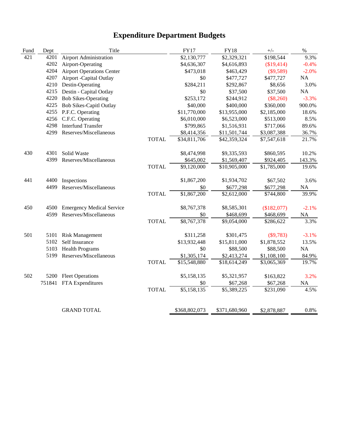| Fund | Dept   | Title                            |              | <b>FY17</b>   | <b>FY18</b>   | $+/-$       | $\%$      |
|------|--------|----------------------------------|--------------|---------------|---------------|-------------|-----------|
| 421  | 4201   | <b>Airport Administration</b>    |              | \$2,130,777   | \$2,329,321   | \$198,544   | 9.3%      |
|      | 4202   | Airport-Operating                |              | \$4,636,307   | \$4,616,893   | (\$19,414)  | $-0.4%$   |
|      | 4204   | <b>Airport Operations Center</b> |              | \$473,018     | \$463,429     | $(\$9,589)$ | $-2.0%$   |
|      | 4207   | Airport - Capital Outlay         |              | \$0           | \$477,727     | \$477,727   | <b>NA</b> |
|      | 4210   | Destin-Operating                 |              | \$284,211     | \$292,867     | \$8,656     | 3.0%      |
|      | 4215   | Destin - Capital Ootlay          |              | \$0           | \$37,500      | \$37,500    | <b>NA</b> |
|      | 4220   | <b>Bob Sikes-Operating</b>       |              | \$253,172     | \$244,912     | $(\$8,260)$ | $-3.3%$   |
|      | 4225   | <b>Bob Sikes-Capitl Outlay</b>   |              | \$40,000      | \$400,000     | \$360,000   | 900.0%    |
|      | 4255   | P.F.C. Operating                 |              | \$11,770,000  | \$13,955,000  | \$2,185,000 | 18.6%     |
|      | 4256   | C.F.C. Operating                 |              | \$6,010,000   | \$6,523,000   | \$513,000   | 8.5%      |
|      | 4298   | <b>Interfund Transfer</b>        |              | \$799,865     | \$1,516,931   | \$717,066   | 89.6%     |
|      | 4299   | Reserves/Miscellaneous           |              | \$8,414,356   | \$11,501,744  | \$3,087,388 | 36.7%     |
|      |        |                                  | <b>TOTAL</b> | \$34,811,706  | \$42,359,324  | \$7,547,618 | 21.7%     |
| 430  | 4301   | Solid Waste                      |              | \$8,474,998   | \$9,335,593   | \$860,595   | 10.2%     |
|      | 4399   | Reserves/Miscellaneous           |              | \$645,002     | \$1,569,407   | \$924,405   | 143.3%    |
|      |        |                                  | <b>TOTAL</b> | \$9,120,000   | \$10,905,000  | \$1,785,000 | 19.6%     |
| 441  | 4400   | Inspections                      |              | \$1,867,200   | \$1,934,702   | \$67,502    | 3.6%      |
|      | 4499   | Reserves/Miscellaneous           |              | \$0           | \$677,298     | \$677,298   | <b>NA</b> |
|      |        |                                  | <b>TOTAL</b> | \$1,867,200   | \$2,612,000   | \$744,800   | 39.9%     |
| 450  | 4500   | <b>Emergency Medical Service</b> |              | \$8,767,378   | \$8,585,301   | (\$182,077) | $-2.1%$   |
|      | 4599   | Reserves/Miscellaneous           |              | \$0           | \$468,699     | \$468,699   | <b>NA</b> |
|      |        |                                  | <b>TOTAL</b> | \$8,767,378   | \$9,054,000   | \$286,622   | 3.3%      |
| 501  | 5101   | <b>Risk Management</b>           |              | \$311,258     | \$301,475     | (\$9,783)   | $-3.1%$   |
|      | 5102   | Self Insurance                   |              | \$13,932,448  | \$15,811,000  | \$1,878,552 | 13.5%     |
|      | 5103   | <b>Health Programs</b>           |              | \$0           | \$88,500      | \$88,500    | NA        |
|      | 5199   | Reserves/Miscellaneous           |              | \$1,305,174   | \$2,413,274   | \$1,108,100 | 84.9%     |
|      |        |                                  | <b>TOTAL</b> | \$15,548,880  | \$18,614,249  | \$3,065,369 | 19.7%     |
| 502  | 5200   | <b>Fleet Operations</b>          |              | \$5,158,135   | \$5,321,957   | \$163,822   | 3.2%      |
|      | 751841 | FTA Expenditures                 |              | \$0           | \$67,268      | \$67,268    | <b>NA</b> |
|      |        |                                  | <b>TOTAL</b> | \$5,158,135   | \$5,389,225   | \$231,090   | 4.5%      |
|      |        |                                  |              |               |               |             |           |
|      |        | <b>GRAND TOTAL</b>               |              | \$368,802,073 | \$371,680,960 | \$2,878,887 | 0.8%      |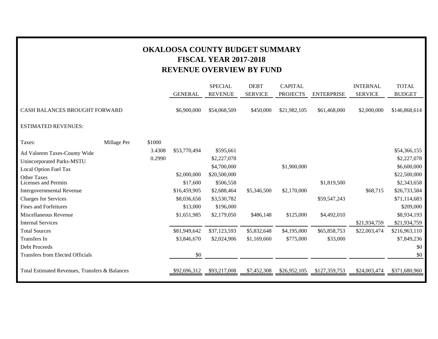### **OKALOOSA COUNTY BUDGET SUMMARY FISCAL YEAR 2017-2018 REVENUE OVERVIEW BY FUND**

|                                                |             |        |                | <b>SPECIAL</b> | <b>DEBT</b>    | <b>CAPITAL</b>  |                   | <b>INTERNAL</b> | <b>TOTAL</b>  |
|------------------------------------------------|-------------|--------|----------------|----------------|----------------|-----------------|-------------------|-----------------|---------------|
|                                                |             |        | <b>GENERAL</b> | <b>REVENUE</b> | <b>SERVICE</b> | <b>PROJECTS</b> | <b>ENTERPRISE</b> | <b>SERVICE</b>  | <b>BUDGET</b> |
| CASH BALANCES BROUGHT FORWARD                  |             |        | \$6,900,000    | \$54,068,509   | \$450,000      | \$21,982,105    | \$61,468,000      | \$2,000,000     | \$146,868,614 |
| <b>ESTIMATED REVENUES:</b>                     |             |        |                |                |                |                 |                   |                 |               |
| Taxes:                                         | Millage Per | \$1000 |                |                |                |                 |                   |                 |               |
| Ad Valorem Taxes-County Wide                   |             | 3.4308 | \$53,770,494   | \$595,661      |                |                 |                   |                 | \$54,366,155  |
| Unincorporated Parks-MSTU                      |             | 0.2990 |                | \$2,227,078    |                |                 |                   |                 | \$2,227,078   |
| Local Option Fuel Tax                          |             |        |                | \$4,700,000    |                | \$1,900,000     |                   |                 | \$6,600,000   |
| Other Taxes                                    |             |        | \$2,000,000    | \$20,500,000   |                |                 |                   |                 | \$22,500,000  |
| <b>Licenses and Permits</b>                    |             |        | \$17,600       | \$506,558      |                |                 | \$1,819,500       |                 | \$2,343,658   |
| <b>Intergovernmental Revenue</b>               |             |        | \$16,459,905   | \$2,688,464    | \$5,346,500    | \$2,170,000     |                   | \$68,715        | \$26,733,584  |
| <b>Charges for Services</b>                    |             |        | \$8,036,658    | \$3,530,782    |                |                 | \$59,547,243      |                 | \$71,114,683  |
| <b>Fines and Forfeitures</b>                   |             |        | \$13,000       | \$196,000      |                |                 |                   |                 | \$209,000     |
| Miscellaneous Revenue                          |             |        | \$1,651,985    | \$2,179,050    | \$486,148      | \$125,000       | \$4,492,010       |                 | \$8,934,193   |
| <b>Internal Services</b>                       |             |        |                |                |                |                 |                   | \$21,934,759    | \$21,934,759  |
| <b>Total Sources</b>                           |             |        | \$81,949,642   | \$37,123,593   | \$5,832,648    | \$4,195,000     | \$65,858,753      | \$22,003,474    | \$216,963,110 |
| Transfers In                                   |             |        | \$3,846,670    | \$2,024,906    | \$1,169,660    | \$775,000       | \$33,000          |                 | \$7,849,236   |
| <b>Debt Proceeds</b>                           |             |        |                |                |                |                 |                   |                 | \$0           |
| <b>Transfers from Elected Officials</b>        |             |        | \$0            |                |                |                 |                   |                 | \$0           |
| Total Estimated Revenues, Transfers & Balances |             |        | \$92,696,312   | \$93,217,008   | \$7,452,308    | \$26,952,105    | \$127,359,753     | \$24,003,474    | \$371,680,960 |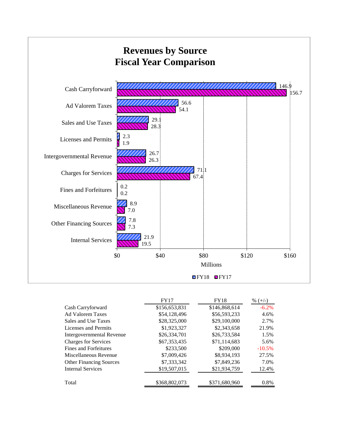

|                                | <b>FY17</b>   | <b>FY18</b>   | $\%$ (+/-) |
|--------------------------------|---------------|---------------|------------|
| Cash Carryforward              | \$156,653,831 | \$146,868,614 | $-6.2\%$   |
| <b>Ad Valorem Taxes</b>        | \$54,128,496  | \$56,593,233  | 4.6%       |
| Sales and Use Taxes            | \$28,325,000  | \$29,100,000  | 2.7%       |
| Licenses and Permits           | \$1,923,327   | \$2,343,658   | 21.9%      |
| Intergovernmental Revenue      | \$26,334,701  | \$26,733,584  | 1.5%       |
| <b>Charges for Services</b>    | \$67,353,435  | \$71,114,683  | 5.6%       |
| Fines and Forfeitures          | \$233,500     | \$209,000     | $-10.5%$   |
| Miscellaneous Revenue          | \$7,009,426   | \$8,934,193   | 27.5%      |
| <b>Other Financing Sources</b> | \$7.333.342   | \$7,849,236   | 7.0%       |
| <b>Internal Services</b>       | \$19,507,015  | \$21,934,759  | 12.4%      |
| Total                          | \$368,802,073 | \$371,680,960 | 0.8%       |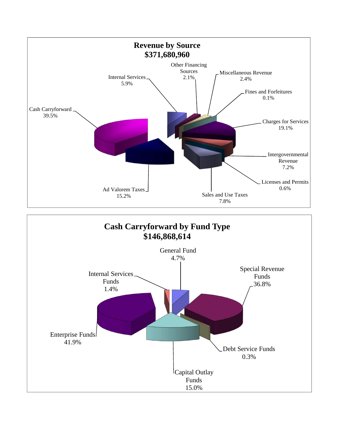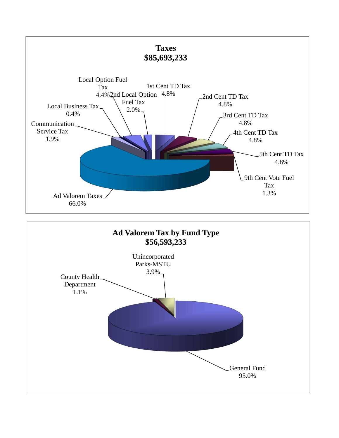

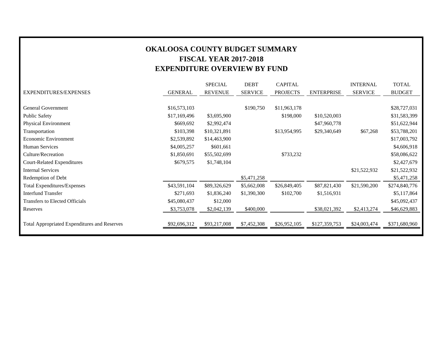### **OKALOOSA COUNTY BUDGET SUMMARY FISCAL YEAR 2017-2018 EXPENDITURE OVERVIEW BY FUND**

|                                                     |                | <b>SPECIAL</b> | <b>DEBT</b>    | <b>CAPITAL</b>  |                   | <b>INTERNAL</b> | <b>TOTAL</b>  |
|-----------------------------------------------------|----------------|----------------|----------------|-----------------|-------------------|-----------------|---------------|
| EXPENDITURES/EXPENSES                               | <b>GENERAL</b> | <b>REVENUE</b> | <b>SERVICE</b> | <b>PROJECTS</b> | <b>ENTERPRISE</b> | <b>SERVICE</b>  | <b>BUDGET</b> |
|                                                     |                |                |                |                 |                   |                 |               |
| <b>General Government</b>                           | \$16,573,103   |                | \$190,750      | \$11,963,178    |                   |                 | \$28,727,031  |
| Public Safety                                       | \$17,169,496   | \$3,695,900    |                | \$198,000       | \$10,520,003      |                 | \$31,583,399  |
| Physical Environment                                | \$669,692      | \$2,992,474    |                |                 | \$47,960,778      |                 | \$51,622,944  |
| Transportation                                      | \$103,398      | \$10,321,891   |                | \$13,954,995    | \$29,340,649      | \$67,268        | \$53,788,201  |
| Economic Environment                                | \$2,539,892    | \$14,463,900   |                |                 |                   |                 | \$17,003,792  |
| Human Services                                      | \$4,005,257    | \$601,661      |                |                 |                   |                 | \$4,606,918   |
| Culture/Recreation                                  | \$1,850,691    | \$55,502,699   |                | \$733,232       |                   |                 | \$58,086,622  |
| <b>Court-Related Expenditures</b>                   | \$679,575      | \$1,748,104    |                |                 |                   |                 | \$2,427,679   |
| <b>Internal Services</b>                            |                |                |                |                 |                   | \$21,522,932    | \$21,522,932  |
| Redemption of Debt                                  |                |                | \$5,471,258    |                 |                   |                 | \$5,471,258   |
| <b>Total Expenditures/Expenses</b>                  | \$43,591,104   | \$89,326,629   | \$5,662,008    | \$26,849,405    | \$87,821,430      | \$21,590,200    | \$274,840,776 |
| <b>Interfund Transfer</b>                           | \$271,693      | \$1,836,240    | \$1,390,300    | \$102,700       | \$1,516,931       |                 | \$5,117,864   |
| Transfers to Elected Officials                      | \$45,080,437   | \$12,000       |                |                 |                   |                 | \$45,092,437  |
| Reserves                                            | \$3,753,078    | \$2,042,139    | \$400,000      |                 | \$38,021,392      | \$2,413,274     | \$46,629,883  |
|                                                     |                |                |                |                 |                   |                 |               |
| <b>Total Appropriated Expenditures and Reserves</b> | \$92,696,312   | \$93,217,008   | \$7,452,308    | \$26,952,105    | \$127,359,753     | \$24,003,474    | \$371,680,960 |
|                                                     |                |                |                |                 |                   |                 |               |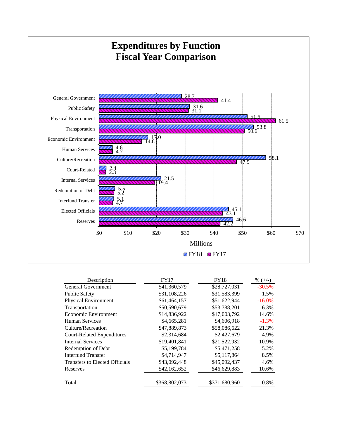

| Description                       | FY17          | <b>FY18</b>   | % $(+/-)$ |
|-----------------------------------|---------------|---------------|-----------|
| General Government                | \$41,360,579  | \$28,727,031  | $-30.5%$  |
| <b>Public Safety</b>              | \$31,108,226  | \$31,583,399  | 1.5%      |
| <b>Physical Environment</b>       | \$61,464,157  | \$51,622,944  | $-16.0%$  |
| Transportation                    | \$50,590,679  | \$53,788,201  | 6.3%      |
| Economic Environment              | \$14,836,922  | \$17,003,792  | 14.6%     |
| Human Services                    | \$4,665,281   | \$4,606,918   | $-1.3\%$  |
| Culture/Recreation                | \$47,889,873  | \$58,086,622  | 21.3%     |
| <b>Court-Related Expenditures</b> | \$2,314,684   | \$2,427,679   | 4.9%      |
| <b>Internal Services</b>          | \$19,401,841  | \$21,522,932  | 10.9%     |
| Redemption of Debt                | \$5,199,784   | \$5,471,258   | 5.2%      |
| Interfund Transfer                | \$4,714,947   | \$5,117,864   | 8.5%      |
| Transfers to Elected Officials    | \$43,092,448  | \$45,092,437  | 4.6%      |
| Reserves                          | \$42,162,652  | \$46,629,883  | 10.6%     |
| Total                             | \$368,802,073 | \$371,680,960 | 0.8%      |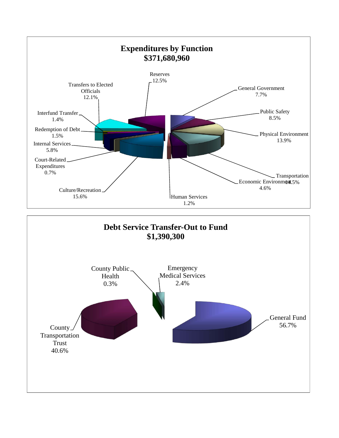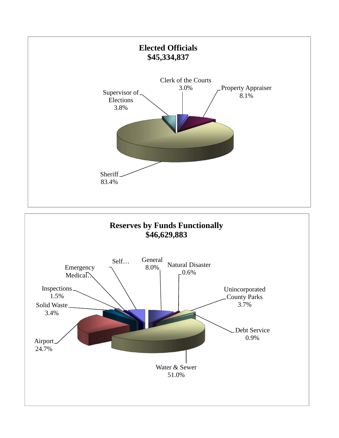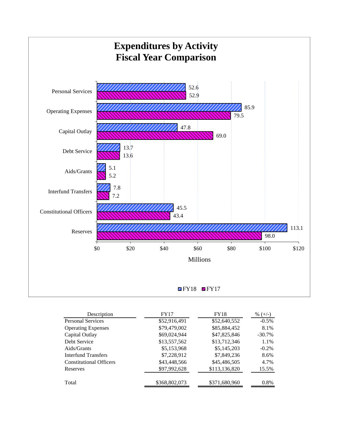

| Description                    | FY17          | <b>FY18</b>   | % $(+/-)$ |
|--------------------------------|---------------|---------------|-----------|
| Personal Services              | \$52,916,491  | \$52,640,552  | $-0.5\%$  |
| <b>Operating Expenses</b>      | \$79,479,002  | \$85,884,452  | 8.1%      |
| Capital Outlay                 | \$69,024,944  | \$47,825,846  | $-30.7\%$ |
| Debt Service                   | \$13,557,562  | \$13,712,346  | 1.1%      |
| Aids/Grants                    | \$5,153,968   | \$5,145,203   | $-0.2\%$  |
| Interfund Transfers            | \$7,228,912   | \$7,849,236   | 8.6%      |
| <b>Constitutional Officers</b> | \$43,448,566  | \$45,486,505  | 4.7%      |
| Reserves                       | \$97,992,628  | \$113,136,820 | 15.5%     |
| Total                          | \$368,802,073 | \$371,680,960 | 0.8%      |